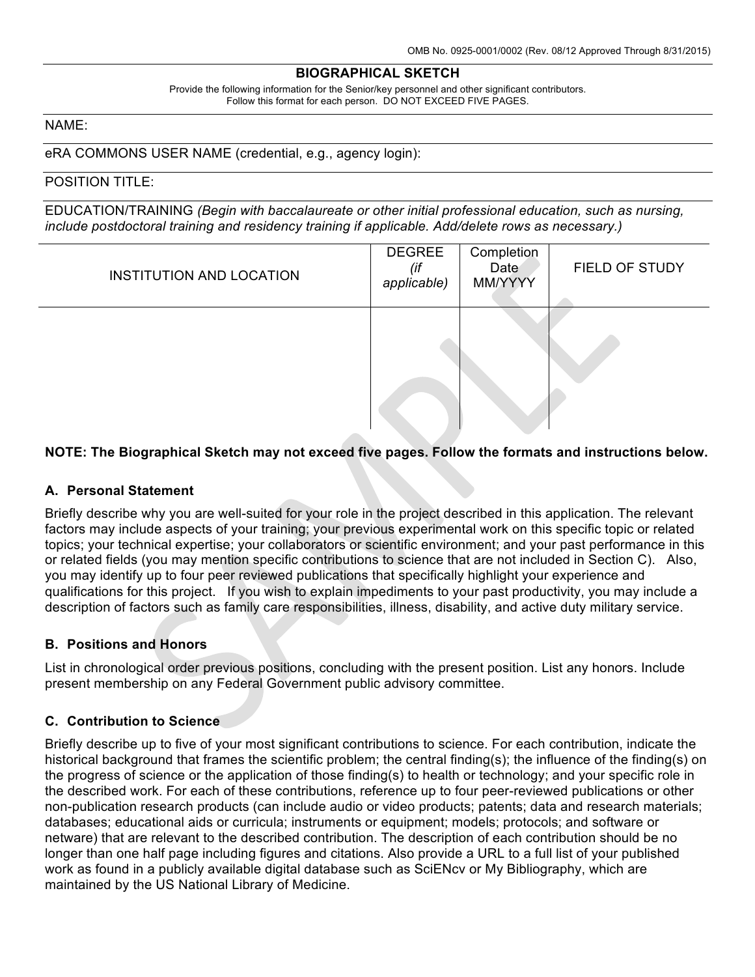#### **BIOGRAPHICAL SKETCH**

Provide the following information for the Senior/key personnel and other significant contributors. Follow this format for each person. DO NOT EXCEED FIVE PAGES.

### NAME:

eRA COMMONS USER NAME (credential, e.g., agency login):

### POSITION TITLE:

EDUCATION/TRAINING *(Begin with baccalaureate or other initial professional education, such as nursing, include postdoctoral training and residency training if applicable. Add/delete rows as necessary.)*

| <b>INSTITUTION AND LOCATION</b> | <b>DEGREE</b><br>(if<br>applicable) | Completion<br>Date<br>MM/YYYY | FIELD OF STUDY |
|---------------------------------|-------------------------------------|-------------------------------|----------------|
| <b>All Control</b>              |                                     |                               |                |

### **NOTE: The Biographical Sketch may not exceed five pages. Follow the formats and instructions below.**

#### **A. Personal Statement**

Briefly describe why you are well-suited for your role in the project described in this application. The relevant factors may include aspects of your training; your previous experimental work on this specific topic or related topics; your technical expertise; your collaborators or scientific environment; and your past performance in this or related fields (you may mention specific contributions to science that are not included in Section C). Also, you may identify up to four peer reviewed publications that specifically highlight your experience and qualifications for this project. If you wish to explain impediments to your past productivity, you may include a description of factors such as family care responsibilities, illness, disability, and active duty military service.

#### **B. Positions and Honors**

List in chronological order previous positions, concluding with the present position. List any honors. Include present membership on any Federal Government public advisory committee.

#### **C. Contribution to Science**

Briefly describe up to five of your most significant contributions to science. For each contribution, indicate the historical background that frames the scientific problem; the central finding(s); the influence of the finding(s) on the progress of science or the application of those finding(s) to health or technology; and your specific role in the described work. For each of these contributions, reference up to four peer-reviewed publications or other non-publication research products (can include audio or video products; patents; data and research materials; databases; educational aids or curricula; instruments or equipment; models; protocols; and software or netware) that are relevant to the described contribution. The description of each contribution should be no longer than one half page including figures and citations. Also provide a URL to a full list of your published work as found in a publicly available digital database such as SciENcv or My Bibliography, which are maintained by the US National Library of Medicine.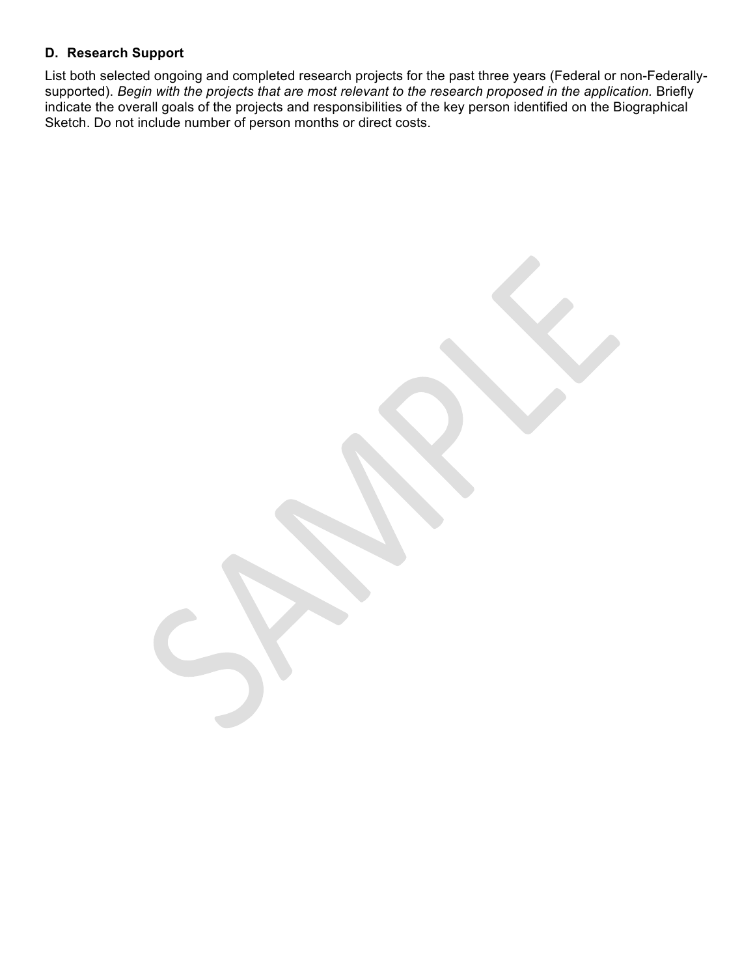## **D. Research Support**

List both selected ongoing and completed research projects for the past three years (Federal or non-Federallysupported). *Begin with the projects that are most relevant to the research proposed in the application.* Briefly indicate the overall goals of the projects and responsibilities of the key person identified on the Biographical Sketch. Do not include number of person months or direct costs.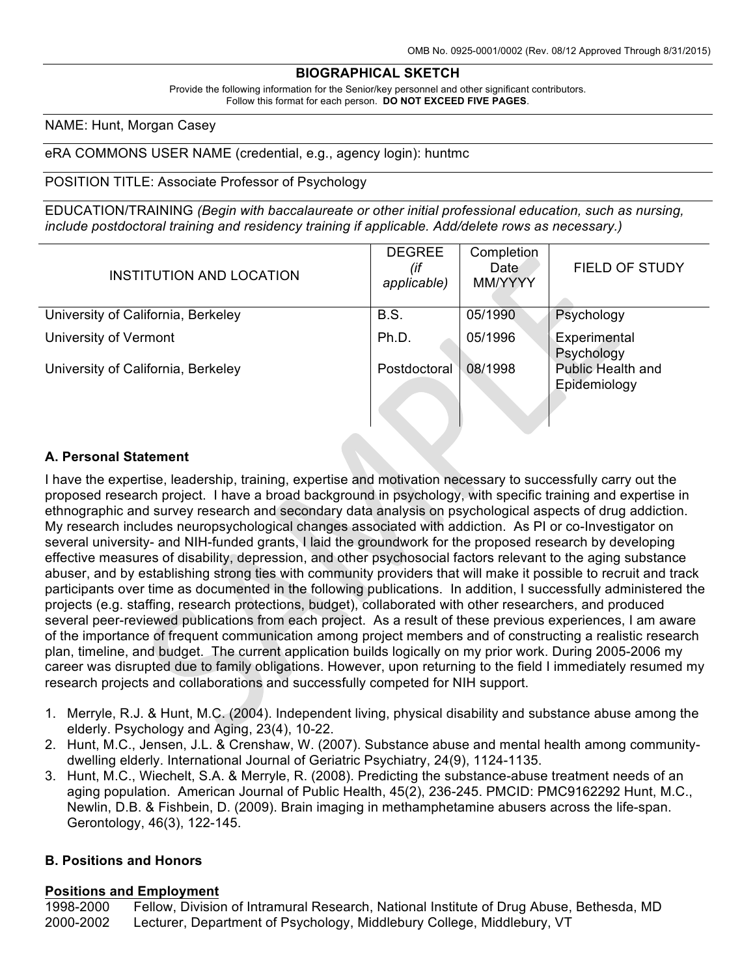## **BIOGRAPHICAL SKETCH**

Provide the following information for the Senior/key personnel and other significant contributors. Follow this format for each person. **DO NOT EXCEED FIVE PAGES**.

### NAME: Hunt, Morgan Casey

eRA COMMONS USER NAME (credential, e.g., agency login): huntmc

### POSITION TITLE: Associate Professor of Psychology

EDUCATION/TRAINING *(Begin with baccalaureate or other initial professional education, such as nursing, include postdoctoral training and residency training if applicable. Add/delete rows as necessary.)*

| INSTITUTION AND LOCATION           | <b>DEGREE</b><br>(if<br>applicable) | Completion<br>Date<br>MM/YYYY | <b>FIELD OF STUDY</b>                    |
|------------------------------------|-------------------------------------|-------------------------------|------------------------------------------|
| University of California, Berkeley | B.S.                                | 05/1990                       | Psychology                               |
| University of Vermont              | Ph.D.                               | 05/1996                       | Experimental<br>Psychology               |
| University of California, Berkeley | Postdoctoral                        | 08/1998                       | <b>Public Health and</b><br>Epidemiology |

## **A. Personal Statement**

I have the expertise, leadership, training, expertise and motivation necessary to successfully carry out the proposed research project. I have a broad background in psychology, with specific training and expertise in ethnographic and survey research and secondary data analysis on psychological aspects of drug addiction. My research includes neuropsychological changes associated with addiction. As PI or co-Investigator on several university- and NIH-funded grants, I laid the groundwork for the proposed research by developing effective measures of disability, depression, and other psychosocial factors relevant to the aging substance abuser, and by establishing strong ties with community providers that will make it possible to recruit and track participants over time as documented in the following publications. In addition, I successfully administered the projects (e.g. staffing, research protections, budget), collaborated with other researchers, and produced several peer-reviewed publications from each project. As a result of these previous experiences, I am aware of the importance of frequent communication among project members and of constructing a realistic research plan, timeline, and budget. The current application builds logically on my prior work. During 2005-2006 my career was disrupted due to family obligations. However, upon returning to the field I immediately resumed my research projects and collaborations and successfully competed for NIH support.

- 1. Merryle, R.J. & Hunt, M.C. (2004). Independent living, physical disability and substance abuse among the elderly. Psychology and Aging, 23(4), 10-22.
- 2. Hunt, M.C., Jensen, J.L. & Crenshaw, W. (2007). Substance abuse and mental health among communitydwelling elderly. International Journal of Geriatric Psychiatry, 24(9), 1124-1135.
- 3. Hunt, M.C., Wiechelt, S.A. & Merryle, R. (2008). Predicting the substance-abuse treatment needs of an aging population. American Journal of Public Health, 45(2), 236-245. PMCID: PMC9162292 Hunt, M.C., Newlin, D.B. & Fishbein, D. (2009). Brain imaging in methamphetamine abusers across the life-span. Gerontology, 46(3), 122-145.

## **B. Positions and Honors**

## **Positions and Employment**

1998-2000 Fellow, Division of Intramural Research, National Institute of Drug Abuse, Bethesda, MD 2000-2002 Lecturer, Department of Psychology, Middlebury College, Middlebury, VT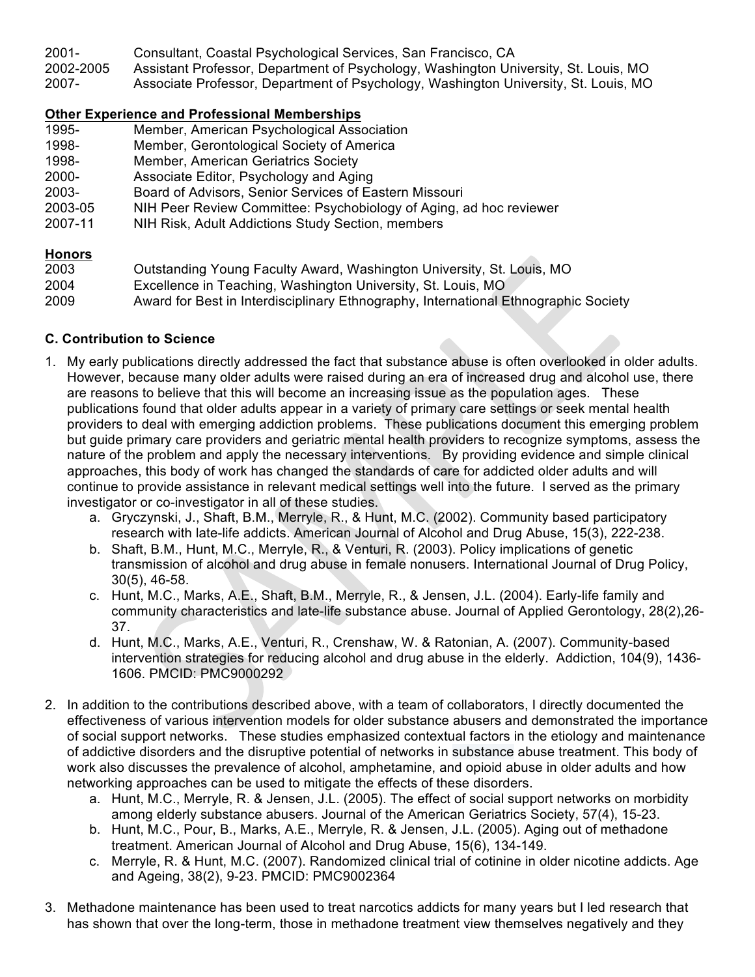2001- Consultant, Coastal Psychological Services, San Francisco, CA 2002-2005 Assistant Professor, Department of Psychology, Washington University, St. Louis, MO 2007- Associate Professor, Department of Psychology, Washington University, St. Louis, MO

## **Other Experience and Professional Memberships**

- 1995- Member, American Psychological Association
- 1998- Member, Gerontological Society of America
- 1998- Member, American Geriatrics Society
- 2000- Associate Editor, Psychology and Aging
- 2003- Board of Advisors, Senior Services of Eastern Missouri
- 2003-05 NIH Peer Review Committee: Psychobiology of Aging, ad hoc reviewer
- 2007-11 NIH Risk, Adult Addictions Study Section, members

## **Honors**

- 2003 Outstanding Young Faculty Award, Washington University, St. Louis, MO
- 2004 Excellence in Teaching, Washington University, St. Louis, MO
- 2009 Award for Best in Interdisciplinary Ethnography, International Ethnographic Society

## **C. Contribution to Science**

- 1. My early publications directly addressed the fact that substance abuse is often overlooked in older adults. However, because many older adults were raised during an era of increased drug and alcohol use, there are reasons to believe that this will become an increasing issue as the population ages. These publications found that older adults appear in a variety of primary care settings or seek mental health providers to deal with emerging addiction problems. These publications document this emerging problem but guide primary care providers and geriatric mental health providers to recognize symptoms, assess the nature of the problem and apply the necessary interventions. By providing evidence and simple clinical approaches, this body of work has changed the standards of care for addicted older adults and will continue to provide assistance in relevant medical settings well into the future. I served as the primary investigator or co-investigator in all of these studies.
	- a. Gryczynski, J., Shaft, B.M., Merryle, R., & Hunt, M.C. (2002). Community based participatory research with late-life addicts. American Journal of Alcohol and Drug Abuse, 15(3), 222-238.
	- b. Shaft, B.M., Hunt, M.C., Merryle, R., & Venturi, R. (2003). Policy implications of genetic transmission of alcohol and drug abuse in female nonusers. International Journal of Drug Policy, 30(5), 46-58.
	- c. Hunt, M.C., Marks, A.E., Shaft, B.M., Merryle, R., & Jensen, J.L. (2004). Early-life family and community characteristics and late-life substance abuse. Journal of Applied Gerontology, 28(2),26- 37.
	- d. Hunt, M.C., Marks, A.E., Venturi, R., Crenshaw, W. & Ratonian, A. (2007). Community-based intervention strategies for reducing alcohol and drug abuse in the elderly. Addiction, 104(9), 1436- 1606. PMCID: PMC9000292
- 2. In addition to the contributions described above, with a team of collaborators, I directly documented the effectiveness of various intervention models for older substance abusers and demonstrated the importance of social support networks. These studies emphasized contextual factors in the etiology and maintenance of addictive disorders and the disruptive potential of networks in substance abuse treatment. This body of work also discusses the prevalence of alcohol, amphetamine, and opioid abuse in older adults and how networking approaches can be used to mitigate the effects of these disorders.
	- a. Hunt, M.C., Merryle, R. & Jensen, J.L. (2005). The effect of social support networks on morbidity among elderly substance abusers. Journal of the American Geriatrics Society, 57(4), 15-23.
	- b. Hunt, M.C., Pour, B., Marks, A.E., Merryle, R. & Jensen, J.L. (2005). Aging out of methadone treatment. American Journal of Alcohol and Drug Abuse, 15(6), 134-149.
	- c. Merryle, R. & Hunt, M.C. (2007). Randomized clinical trial of cotinine in older nicotine addicts. Age and Ageing, 38(2), 9-23. PMCID: PMC9002364
- 3. Methadone maintenance has been used to treat narcotics addicts for many years but I led research that has shown that over the long-term, those in methadone treatment view themselves negatively and they